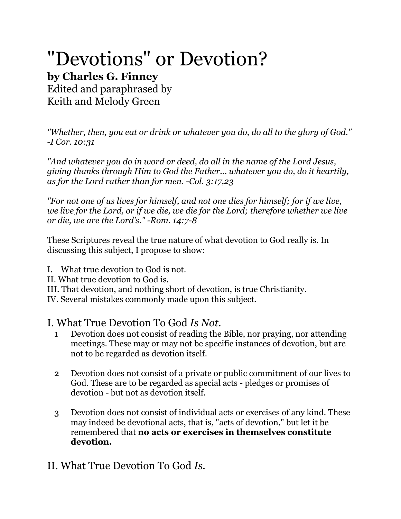# "Devotions" or Devotion?

## **by Charles G. Finney**

Edited and paraphrased by Keith and Melody Green

*"Whether, then, you eat or drink or whatever you do, do all to the glory of God." -I Cor. 10:31*

*"And whatever you do in word or deed, do all in the name of the Lord Jesus, giving thanks through Him to God the Father... whatever you do, do it heartily, as for the Lord rather than for men. -Col. 3:17,23*

*"For not one of us lives for himself, and not one dies for himself; for if we live, we live for the Lord, or if we die, we die for the Lord; therefore whether we live or die, we are the Lord's." -Rom. 14:7-8*

These Scriptures reveal the true nature of what devotion to God really is. In discussing this subject, I propose to show:

- I. What true devotion to God is not.
- II. What true devotion to God is.
- III. That devotion, and nothing short of devotion, is true Christianity.

IV. Several mistakes commonly made upon this subject.

#### I. What True Devotion To God *Is Not.*

- 1 Devotion does not consist of reading the Bible, nor praying, nor attending meetings. These may or may not be specific instances of devotion, but are not to be regarded as devotion itself.
- 2 Devotion does not consist of a private or public commitment of our lives to God. These are to be regarded as special acts - pledges or promises of devotion - but not as devotion itself.
- 3 Devotion does not consist of individual acts or exercises of any kind. These may indeed be devotional acts, that is, "acts of devotion," but let it be remembered that **no acts or exercises in themselves constitute devotion.**

### II. What True Devotion To God *Is.*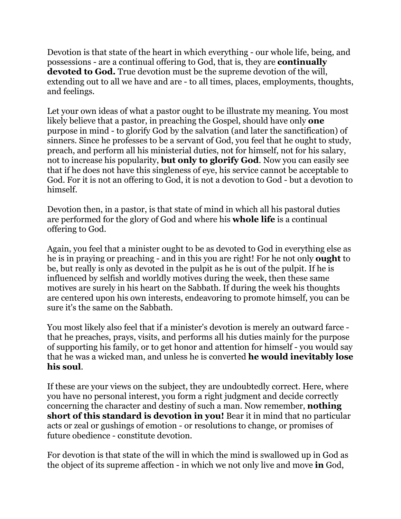Devotion is that state of the heart in which everything - our whole life, being, and possessions - are a continual offering to God, that is, they are **continually devoted to God.** True devotion must be the supreme devotion of the will, extending out to all we have and are - to all times, places, employments, thoughts, and feelings.

Let your own ideas of what a pastor ought to be illustrate my meaning. You most likely believe that a pastor, in preaching the Gospel, should have only **one** purpose in mind - to glorify God by the salvation (and later the sanctification) of sinners. Since he professes to be a servant of God, you feel that he ought to study, preach, and perform all his ministerial duties, not for himself, not for his salary, not to increase his popularity, **but only to glorify God**. Now you can easily see that if he does not have this singleness of eye, his service cannot be acceptable to God. For it is not an offering to God, it is not a devotion to God - but a devotion to himself.

Devotion then, in a pastor, is that state of mind in which all his pastoral duties are performed for the glory of God and where his **whole life** is a continual offering to God.

Again, you feel that a minister ought to be as devoted to God in everything else as he is in praying or preaching - and in this you are right! For he not only **ought** to be, but really is only as devoted in the pulpit as he is out of the pulpit. If he is influenced by selfish and worldly motives during the week, then these same motives are surely in his heart on the Sabbath. If during the week his thoughts are centered upon his own interests, endeavoring to promote himself, you can be sure it's the same on the Sabbath.

You most likely also feel that if a minister's devotion is merely an outward farce that he preaches, prays, visits, and performs all his duties mainly for the purpose of supporting his family, or to get honor and attention for himself - you would say that he was a wicked man, and unless he is converted **he would inevitably lose his soul**.

If these are your views on the subject, they are undoubtedly correct. Here, where you have no personal interest, you form a right judgment and decide correctly concerning the character and destiny of such a man. Now remember, **nothing short of this standard is devotion in you!** Bear it in mind that no particular acts or zeal or gushings of emotion - or resolutions to change, or promises of future obedience - constitute devotion.

For devotion is that state of the will in which the mind is swallowed up in God as the object of its supreme affection - in which we not only live and move **in** God,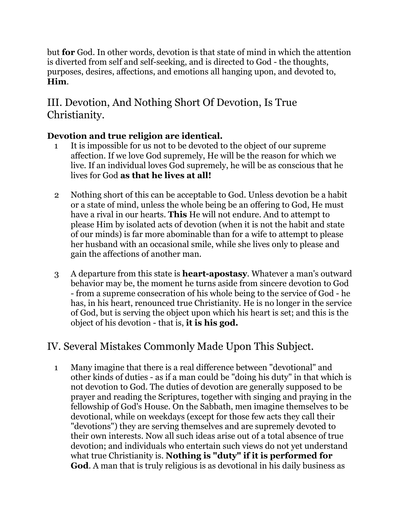but **for** God. In other words, devotion is that state of mind in which the attention is diverted from self and self-seeking, and is directed to God - the thoughts, purposes, desires, affections, and emotions all hanging upon, and devoted to, **Him**.

#### III. Devotion, And Nothing Short Of Devotion, Is True Christianity.

#### **Devotion and true religion are identical.**

- 1 It is impossible for us not to be devoted to the object of our supreme affection. If we love God supremely, He will be the reason for which we live. If an individual loves God supremely, he will be as conscious that he lives for God **as that he lives at all!**
- 2 Nothing short of this can be acceptable to God. Unless devotion be a habit or a state of mind, unless the whole being be an offering to God, He must have a rival in our hearts. **This** He will not endure. And to attempt to please Him by isolated acts of devotion (when it is not the habit and state of our minds) is far more abominable than for a wife to attempt to please her husband with an occasional smile, while she lives only to please and gain the affections of another man.
- 3 A departure from this state is **heart-apostasy**. Whatever a man's outward behavior may be, the moment he turns aside from sincere devotion to God - from a supreme consecration of his whole being to the service of God - he has, in his heart, renounced true Christianity. He is no longer in the service of God, but is serving the object upon which his heart is set; and this is the object of his devotion - that is, **it is his god.**

### IV. Several Mistakes Commonly Made Upon This Subject.

 1 Many imagine that there is a real difference between "devotional" and other kinds of duties - as if a man could be "doing his duty" in that which is not devotion to God. The duties of devotion are generally supposed to be prayer and reading the Scriptures, together with singing and praying in the fellowship of God's House. On the Sabbath, men imagine themselves to be devotional, while on weekdays (except for those few acts they call their "devotions") they are serving themselves and are supremely devoted to their own interests. Now all such ideas arise out of a total absence of true devotion; and individuals who entertain such views do not yet understand what true Christianity is. **Nothing is "duty" if it is performed for God**. A man that is truly religious is as devotional in his daily business as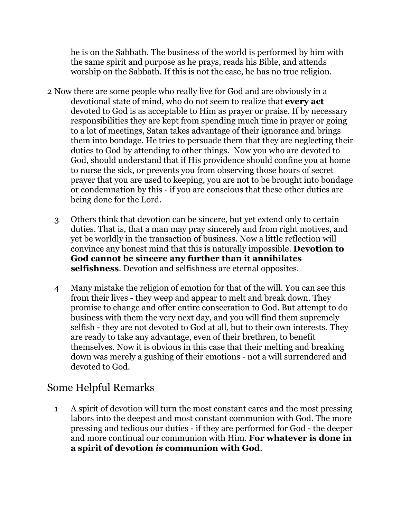he is on the Sabbath. The business of the world is performed by him with the same spirit and purpose as he prays, reads his Bible, and attends worship on the Sabbath. If this is not the case, he has no true religion.

- 2 Now there are some people who really live for God and are obviously in a devotional state of mind, who do not seem to realize that **every act** devoted to God is as acceptable to Him as prayer or praise. If by necessary responsibilities they are kept from spending much time in prayer or going to a lot of meetings, Satan takes advantage of their ignorance and brings them into bondage. He tries to persuade them that they are neglecting their duties to God by attending to other things. Now you who are devoted to God, should understand that if His providence should confine you at home to nurse the sick, or prevents you from observing those hours of secret prayer that you are used to keeping, you are not to be brought into bondage or condemnation by this - if you are conscious that these other duties are being done for the Lord.
	- 3 Others think that devotion can be sincere, but yet extend only to certain duties. That is, that a man may pray sincerely and from right motives, and yet be worldly in the transaction of business. Now a little reflection will convince any honest mind that this is naturally impossible. **Devotion to God cannot be sincere any further than it annihilates selfishness**. Devotion and selfishness are eternal opposites.
	- 4 Many mistake the religion of emotion for that of the will. You can see this from their lives - they weep and appear to melt and break down. They promise to change and offer entire consecration to God. But attempt to do business with them the very next day, and you will find them supremely selfish - they are not devoted to God at all, but to their own interests. They are ready to take any advantage, even of their brethren, to benefit themselves. Now it is obvious in this case that their melting and breaking down was merely a gushing of their emotions - not a will surrendered and devoted to God.

#### Some Helpful Remarks

 1 A spirit of devotion will turn the most constant cares and the most pressing labors into the deepest and most constant communion with God. The more pressing and tedious our duties - if they are performed for God - the deeper and more continual our communion with Him. **For whatever is done in a spirit of devotion** *is* **communion with God**.